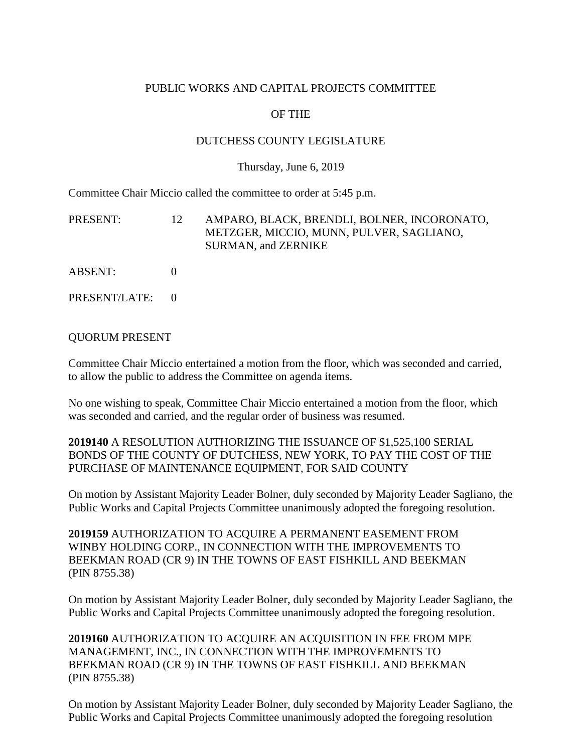## PUBLIC WORKS AND CAPITAL PROJECTS COMMITTEE

## OF THE

## DUTCHESS COUNTY LEGISLATURE

#### Thursday, June 6, 2019

Committee Chair Miccio called the committee to order at 5:45 p.m.

| PRESENT: | 12. | AMPARO, BLACK, BRENDLI, BOLNER, INCORONATO,<br>METZGER, MICCIO, MUNN, PULVER, SAGLIANO,<br><b>SURMAN, and ZERNIKE</b> |
|----------|-----|-----------------------------------------------------------------------------------------------------------------------|
| ABSENT:  |     |                                                                                                                       |

PRESENT/LATE: 0

#### QUORUM PRESENT

Committee Chair Miccio entertained a motion from the floor, which was seconded and carried, to allow the public to address the Committee on agenda items.

No one wishing to speak, Committee Chair Miccio entertained a motion from the floor, which was seconded and carried, and the regular order of business was resumed.

**2019140** A RESOLUTION AUTHORIZING THE ISSUANCE OF \$1,525,100 SERIAL BONDS OF THE COUNTY OF DUTCHESS, NEW YORK, TO PAY THE COST OF THE PURCHASE OF MAINTENANCE EQUIPMENT, FOR SAID COUNTY

On motion by Assistant Majority Leader Bolner, duly seconded by Majority Leader Sagliano, the Public Works and Capital Projects Committee unanimously adopted the foregoing resolution.

**2019159** AUTHORIZATION TO ACQUIRE A PERMANENT EASEMENT FROM WINBY HOLDING CORP., IN CONNECTION WITH THE IMPROVEMENTS TO BEEKMAN ROAD (CR 9) IN THE TOWNS OF EAST FISHKILL AND BEEKMAN (PIN 8755.38)

On motion by Assistant Majority Leader Bolner, duly seconded by Majority Leader Sagliano, the Public Works and Capital Projects Committee unanimously adopted the foregoing resolution.

**2019160** AUTHORIZATION TO ACQUIRE AN ACQUISITION IN FEE FROM MPE MANAGEMENT, INC., IN CONNECTION WITH THE IMPROVEMENTS TO BEEKMAN ROAD (CR 9) IN THE TOWNS OF EAST FISHKILL AND BEEKMAN (PIN 8755.38)

On motion by Assistant Majority Leader Bolner, duly seconded by Majority Leader Sagliano, the Public Works and Capital Projects Committee unanimously adopted the foregoing resolution